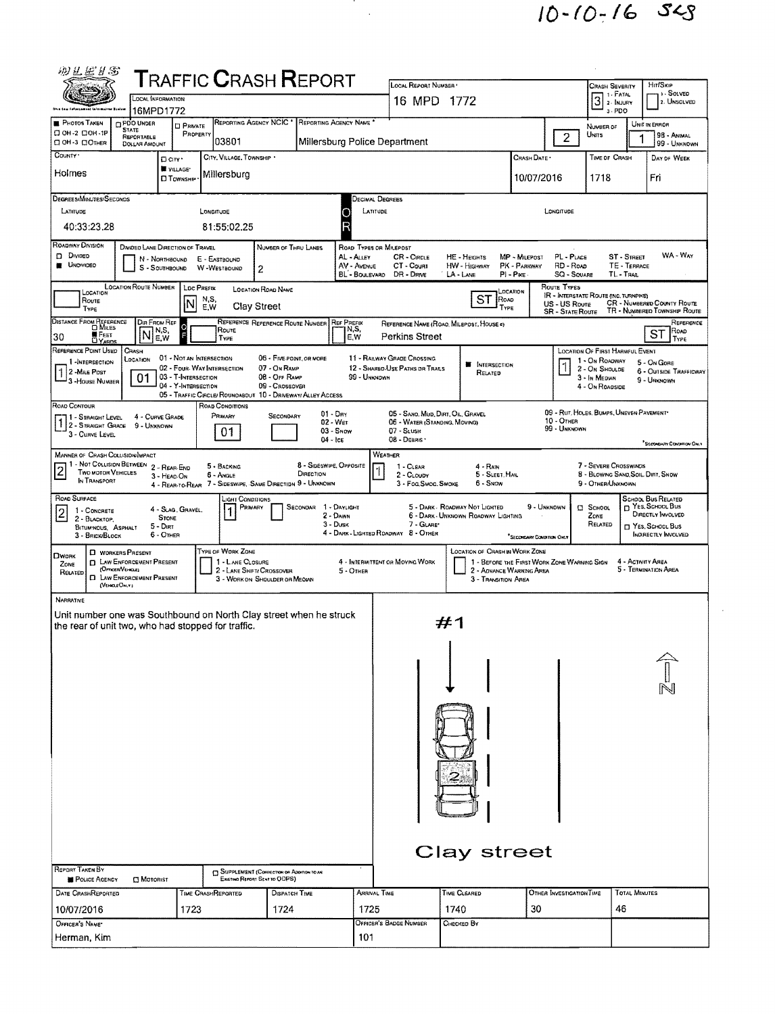

| 羽兰运月念                                                                                    |                                                                                         |                                      | <b>TRAFFIC CRASH REPORT</b>                                                    |                                                             |                                      |                                                     |                                                                                                                                                                                |                                                                       |                                             |                                          |                                                             |                                               |                                              |  |  |  |  |
|------------------------------------------------------------------------------------------|-----------------------------------------------------------------------------------------|--------------------------------------|--------------------------------------------------------------------------------|-------------------------------------------------------------|--------------------------------------|-----------------------------------------------------|--------------------------------------------------------------------------------------------------------------------------------------------------------------------------------|-----------------------------------------------------------------------|---------------------------------------------|------------------------------------------|-------------------------------------------------------------|-----------------------------------------------|----------------------------------------------|--|--|--|--|
|                                                                                          | LOCAL INFORMATION                                                                       |                                      |                                                                                |                                                             |                                      |                                                     | LOCAL REPORT NUMBER<br>16 MPD 1772                                                                                                                                             | <b>CRASH SEVERITY</b><br>$31. F$ ATAL                                 | <b>HirtSkip</b><br>1. SOLVED<br>2. UNSOLVED |                                          |                                                             |                                               |                                              |  |  |  |  |
| <b>PHOTOS TAKEN</b>                                                                      | 16MPD1772<br><b>DPDO UNDER</b>                                                          |                                      |                                                                                | REPORTING AGENCY NCIC * REPORTING AGENCY NAME               |                                      |                                                     |                                                                                                                                                                                |                                                                       |                                             |                                          | 3-PDO                                                       |                                               |                                              |  |  |  |  |
| □ 0Н-2 □ 0Н-1Р<br>О ОН-3 ООТНЕЯ                                                          | <b>STATE</b><br>REPORTABLE                                                              | <b>D</b> PRIVATE<br>PROPERTY         | 03801                                                                          |                                                             |                                      |                                                     | Millersburg Police Department                                                                                                                                                  |                                                                       |                                             | $\overline{2}$                           | Number of<br>UNITS                                          | 1                                             | UNIT IN ERROR<br>98 - ANIMAL<br>99 - UNKNOWN |  |  |  |  |
| COUNTY '                                                                                 | <b>DOLLAR AMOUNT</b>                                                                    | D City *                             | CITY, VILLAGE, TOWNSHIP .                                                      |                                                             |                                      |                                                     |                                                                                                                                                                                |                                                                       | Crash Date *                                |                                          | TIME OF CRASH                                               |                                               | DAY OF WEEK                                  |  |  |  |  |
| Holmes                                                                                   |                                                                                         | <b>WILLAGE*</b><br><b>D</b> Township | Millersburg                                                                    |                                                             |                                      |                                                     |                                                                                                                                                                                |                                                                       | 10/07/2016                                  |                                          | 1718                                                        |                                               | Fri                                          |  |  |  |  |
| DEGREES/MINUTES/SECONDS                                                                  |                                                                                         |                                      |                                                                                |                                                             |                                      |                                                     |                                                                                                                                                                                |                                                                       |                                             |                                          |                                                             |                                               |                                              |  |  |  |  |
| LATITUDE                                                                                 |                                                                                         |                                      | LONGITUDE                                                                      |                                                             |                                      |                                                     | Decimal Degrees<br>LATITUDE<br>LONGITUDE                                                                                                                                       |                                                                       |                                             |                                          |                                                             |                                               |                                              |  |  |  |  |
| 40:33:23.28                                                                              |                                                                                         |                                      | 81:55:02.25                                                                    |                                                             |                                      |                                                     |                                                                                                                                                                                |                                                                       |                                             |                                          |                                                             |                                               |                                              |  |  |  |  |
| <b>ROADWAY DIVISION</b><br>D Divideo<br><b>UNOWDED</b>                                   | DIVIDED LANE DIRECTION OF TRAVEL<br>N - NORTHBOUND<br>S - SOUTHBOUND                    |                                      | E - EASTBOUND                                                                  | NUMBER OF THRU LANES                                        |                                      | ROAD TYPES OR MILEPOST<br>AL - ALLEY<br>AV - AVENUE | <b>CR</b> - CIRCLE<br>CT - Count                                                                                                                                               | HE - HEIGHTS<br><b>HW</b> - HIGHWAY                                   | MP - MILEPOST<br>PK - PARKWAY               | PL - PLACE<br>RD - Roap                  |                                                             | <b>ST - STREET</b><br>TE - TERRACE            | WA - Way                                     |  |  |  |  |
|                                                                                          | <b>LOCATION ROUTE NUMBER</b>                                                            |                                      | W-WESTBOUND                                                                    | 2                                                           |                                      | BL - BOULEVARO                                      | DR - DRNE                                                                                                                                                                      | LA-LANE                                                               | $PI - P$ ike                                | <b>SQ - SQUARE</b><br><b>ROUTE TYPES</b> |                                                             | TL-TRAIL                                      |                                              |  |  |  |  |
| LOCATION<br>Route                                                                        |                                                                                         | <b>LOC PREFIX</b><br>INI             | N,S,                                                                           | <b>LOCATION ROAD NAME</b>                                   |                                      |                                                     |                                                                                                                                                                                | ST<br>ROAD                                                            | LOCATION                                    | US - US Route                            | IR - INTERSTATE ROUTE (INC. TURNPIKE)                       |                                               | <b>CR - NUMBERED COUNTY ROUTE</b>            |  |  |  |  |
| TYPE<br>DISTANCE FROM REFERENCE                                                          | DIR FROM REF                                                                            |                                      | F.W                                                                            | Clay Street<br>REFERENCE REFERENCE ROUTE NUMBER             |                                      | <b>REF PREFIX</b>                                   |                                                                                                                                                                                | TYPE<br>REFERENCE NAME (ROAD, MILEPOST, HOUSE #)                      |                                             | <b>SR - STATE ROUTE</b>                  |                                                             |                                               | TR - NUMBERED TOWNSHIP ROUTE<br>REFERENCE    |  |  |  |  |
| <b>W</b> FEET<br>30<br><b>DYARDS</b>                                                     | IN,S,<br>N<br>E,W                                                                       |                                      | ROUTE<br>TYPE                                                                  |                                                             |                                      | N,S,<br>E, W                                        | Perkins Street                                                                                                                                                                 |                                                                       |                                             |                                          |                                                             |                                               | ROAD<br>ST<br>TYPE                           |  |  |  |  |
| REFERENCE POINT USED<br>1-INTERSECTION                                                   | CRASH<br>LOCATION                                                                       |                                      | 01 - NOT AN INTERSECTION                                                       | 06 - Five-Point, OR MORE                                    |                                      |                                                     | 11 - RAILWAY GRADE CROSSING                                                                                                                                                    |                                                                       |                                             |                                          | <b>LOCATION OF FIRST HARMFUL EVENT</b><br>1 - On ROADWAY    |                                               | 5 - On GORE                                  |  |  |  |  |
| 2 - MILE POST<br>3 - House Number                                                        | 01                                                                                      | 03 - T-INTERSECTION                  | 02 - FOUR WAY INTERSECTION                                                     | 07 - On RAMP<br>08 - OFF RAMP                               |                                      | 99 - UNKNOWN                                        | 12 - SHARED-USE PATHS OR TRAILS                                                                                                                                                | <b>F</b> INTERSECTION<br>Related                                      |                                             | $\mathord{\text{\rm I}}$                 | 2 - On Shoulde<br>3 - In Median                             |                                               | 6 - OUTSIDE TRAFFICWAY<br>9 - UNKNOWN        |  |  |  |  |
|                                                                                          |                                                                                         | 04 - Y-INTERSECTION                  | 05 - TRAFFIC CIRCLE/ ROUNDABOUT 10 - DRIVEWAY/ ALLEY ACCESS                    | 09 - CROSSOVER                                              |                                      |                                                     |                                                                                                                                                                                |                                                                       |                                             |                                          | 4 - On ROADSIDE                                             |                                               |                                              |  |  |  |  |
| ROAD CONTOUR<br>1 - STRAIGHT LEVEL                                                       | 4 - CURVE GRADE                                                                         |                                      | ROAD CONDITIONS<br>PRIMARY                                                     | SECONDARY                                                   |                                      | $01 - \text{Dry}$<br>02 - Wer                       | 05 - SAND, MUD, DIRT, OIL, GRAVEL<br>06 - WATER (STANDING, MOVING)                                                                                                             |                                                                       |                                             | $10 -$ OTHER                             | 09 - Rut, HOLES, BUMPS, UNEVEN PAVEMENT*                    |                                               |                                              |  |  |  |  |
| 3 - CURVE LEVEL                                                                          | 1 2 - STRAIGHT GRADE 9 - UNKNOWN                                                        |                                      | 01                                                                             |                                                             | $04 -$ Ice                           | $03 -$ SNOW                                         | 07 - SLUSH<br>08 - Deans -                                                                                                                                                     |                                                                       |                                             | 99 - UNKNOWN                             |                                                             |                                               |                                              |  |  |  |  |
| MANNER OF CRASH COLLISION/MPACT                                                          |                                                                                         |                                      |                                                                                |                                                             |                                      |                                                     | WEATHER                                                                                                                                                                        |                                                                       |                                             |                                          |                                                             |                                               | SECONDARY CONDITION ONLY                     |  |  |  |  |
| 1 - NOT COLLISION BETWEEN<br>$\overline{2}$<br><b>TWO MOTOR VEHICLES</b><br>In TRANSPORT | 2 - REAR-END<br>3 - HEAD-ON                                                             |                                      | 5 - BACKING<br>6 - Angle                                                       |                                                             | 8 - Sideswipe, Opposite<br>DIRECTION |                                                     | 1 - CLEAR<br>2 - CLOUDY                                                                                                                                                        | 4 - RAIN<br>5 - SLEET, HAIL                                           |                                             |                                          | 7 - SEVERE CROSSWINDS<br>8 - BLOWING SAND, SOIL, DIRT, SNOW |                                               |                                              |  |  |  |  |
| ROAD SURFACE                                                                             |                                                                                         |                                      | 4 - REAR-TO-REAR 7 - SIDESWIPE, SAME DIRECTION 9 - UNKNOWN<br>Light Conditions |                                                             |                                      |                                                     | 3 - Fog, Smog, Smoke                                                                                                                                                           | 6 - SNOW                                                              |                                             |                                          | 9 - OTHER/UNKNOWN                                           |                                               | <b>SCHOOL BUS RELATED</b>                    |  |  |  |  |
| 1 - CONCRETE<br>$\overline{c}$<br>2 - BLACKTOP,                                          | <b>STONE</b>                                                                            | 4 - SLAG, GRAVEL.                    | PRIMARY                                                                        |                                                             | SECONDAR 1 - DAYLIGHT                | 2 - DAWN                                            |                                                                                                                                                                                | 5 - DARK - ROADWAY NOT LIGHTED<br>6 - DARK - UNKNOWN ROADWAY LIGHTING | 9 - UNKNOWN                                 |                                          | $\square$ SCHOOL<br>ZONE                                    | P YES, SCHOOL Bus<br><b>DIRECTLY INVOLVED</b> |                                              |  |  |  |  |
| <b>BITUMINOUS, ASPHALT</b><br>3 - BRICK/BLOCK                                            | $5 -$ Dirt<br>6 - OTHER                                                                 |                                      |                                                                                |                                                             |                                      | $3 - D$ usk                                         | 7 - GLARE*<br>RELATED<br><sup>1</sup> YES, SCHOOL BUS<br>4 - DARK - LIGHTED ROADWAY 8 - OTHER<br><b>INDIRECTLY INVOLVED</b><br><sup>*</sup> SECONDARY CONDITION ONLY           |                                                                       |                                             |                                          |                                                             |                                               |                                              |  |  |  |  |
| <b>DWORK</b>                                                                             | D WORKERS PRESENT                                                                       |                                      | TYPE OF WORK ZONE                                                              |                                                             |                                      |                                                     |                                                                                                                                                                                | <b>LOCATION OF CRASH IN WORK ZONE</b>                                 |                                             |                                          |                                                             |                                               |                                              |  |  |  |  |
| ZONE<br>RELATED                                                                          | <b>D</b> LAW ENFORCEMENT PRESENT<br>(Orncen Vencue)<br><b>D</b> LAW ENFORCEMENT PRESENT |                                      | 1 - LANE CLOSURE                                                               | 2 - LANE SHIFT / CROSSOVER<br>3 - WORK ON SHOULDER OR MEOWN |                                      | $5 -$ OTHER                                         | 4 - INTERMITTENT OR MOVING WORK<br>1 - BEFORE THE FIRST WORK ZONE WARNING SIGN<br>4 - ACTIVITY AREA<br>5 - TERMINATION AREA<br>2 - ADVANCE WARNING AREA<br>3 - Transition Area |                                                                       |                                             |                                          |                                                             |                                               |                                              |  |  |  |  |
| NARRATIVE                                                                                | (VEHICLEOM.Y)                                                                           |                                      |                                                                                |                                                             |                                      |                                                     |                                                                                                                                                                                |                                                                       |                                             |                                          |                                                             |                                               |                                              |  |  |  |  |
| Unit number one was Southbound on North Clay street when he struck                       |                                                                                         |                                      |                                                                                |                                                             |                                      |                                                     |                                                                                                                                                                                |                                                                       |                                             |                                          |                                                             |                                               |                                              |  |  |  |  |
| the rear of unit two, who had stopped for traffic.                                       |                                                                                         |                                      |                                                                                |                                                             |                                      |                                                     |                                                                                                                                                                                | #1                                                                    |                                             |                                          |                                                             |                                               |                                              |  |  |  |  |
|                                                                                          |                                                                                         |                                      |                                                                                |                                                             |                                      |                                                     |                                                                                                                                                                                |                                                                       |                                             |                                          |                                                             |                                               |                                              |  |  |  |  |
|                                                                                          |                                                                                         |                                      |                                                                                |                                                             |                                      |                                                     |                                                                                                                                                                                |                                                                       |                                             |                                          |                                                             |                                               |                                              |  |  |  |  |
|                                                                                          |                                                                                         |                                      |                                                                                |                                                             |                                      |                                                     |                                                                                                                                                                                |                                                                       |                                             |                                          |                                                             |                                               |                                              |  |  |  |  |
|                                                                                          |                                                                                         |                                      |                                                                                |                                                             |                                      |                                                     |                                                                                                                                                                                |                                                                       |                                             |                                          |                                                             |                                               |                                              |  |  |  |  |
|                                                                                          |                                                                                         |                                      |                                                                                |                                                             |                                      |                                                     |                                                                                                                                                                                |                                                                       |                                             |                                          |                                                             |                                               |                                              |  |  |  |  |
|                                                                                          |                                                                                         |                                      |                                                                                |                                                             |                                      |                                                     |                                                                                                                                                                                |                                                                       |                                             |                                          |                                                             |                                               |                                              |  |  |  |  |
|                                                                                          |                                                                                         |                                      |                                                                                |                                                             |                                      |                                                     |                                                                                                                                                                                |                                                                       |                                             |                                          |                                                             |                                               |                                              |  |  |  |  |
|                                                                                          |                                                                                         |                                      |                                                                                |                                                             |                                      |                                                     |                                                                                                                                                                                |                                                                       |                                             |                                          |                                                             |                                               |                                              |  |  |  |  |
|                                                                                          |                                                                                         |                                      |                                                                                |                                                             |                                      |                                                     |                                                                                                                                                                                |                                                                       |                                             |                                          |                                                             |                                               |                                              |  |  |  |  |
|                                                                                          |                                                                                         |                                      |                                                                                |                                                             |                                      |                                                     |                                                                                                                                                                                |                                                                       |                                             |                                          |                                                             |                                               |                                              |  |  |  |  |
|                                                                                          |                                                                                         |                                      |                                                                                |                                                             |                                      |                                                     |                                                                                                                                                                                | Clay street                                                           |                                             |                                          |                                                             |                                               |                                              |  |  |  |  |
| REPORT TAKEN BY                                                                          |                                                                                         |                                      |                                                                                | SUPPLEMENT (CORRECTION OF ADDITION TO AN                    |                                      |                                                     |                                                                                                                                                                                |                                                                       |                                             |                                          |                                                             |                                               |                                              |  |  |  |  |
| POLICE AGENCY<br>DATE CRASHREPORTED                                                      | <b>CI MOTORIST</b>                                                                      |                                      | TIME CRASHREPORTED                                                             | EXISTING REPORT SENT TO ODPS)<br><b>DISPATCH TIME</b>       |                                      |                                                     | ARRIVAL TIME                                                                                                                                                                   | TIME CLEARED                                                          |                                             | OTHER INVESTIGATION TIME                 |                                                             | <b>TOTAL MINUTES</b>                          |                                              |  |  |  |  |
| 10/07/2016                                                                               |                                                                                         | 1723                                 |                                                                                | 1724                                                        |                                      | 1725                                                |                                                                                                                                                                                | 1740                                                                  | 30                                          |                                          |                                                             | 46                                            |                                              |  |  |  |  |
| OFFICER'S NAME*                                                                          |                                                                                         |                                      |                                                                                |                                                             |                                      |                                                     | OFFICER'S BADGE NUMBER                                                                                                                                                         | Снескер Ву                                                            |                                             |                                          |                                                             |                                               |                                              |  |  |  |  |
| Herman, Kim                                                                              |                                                                                         |                                      |                                                                                |                                                             |                                      | 101                                                 |                                                                                                                                                                                |                                                                       |                                             |                                          |                                                             |                                               |                                              |  |  |  |  |

 $\ddot{\phantom{a}}$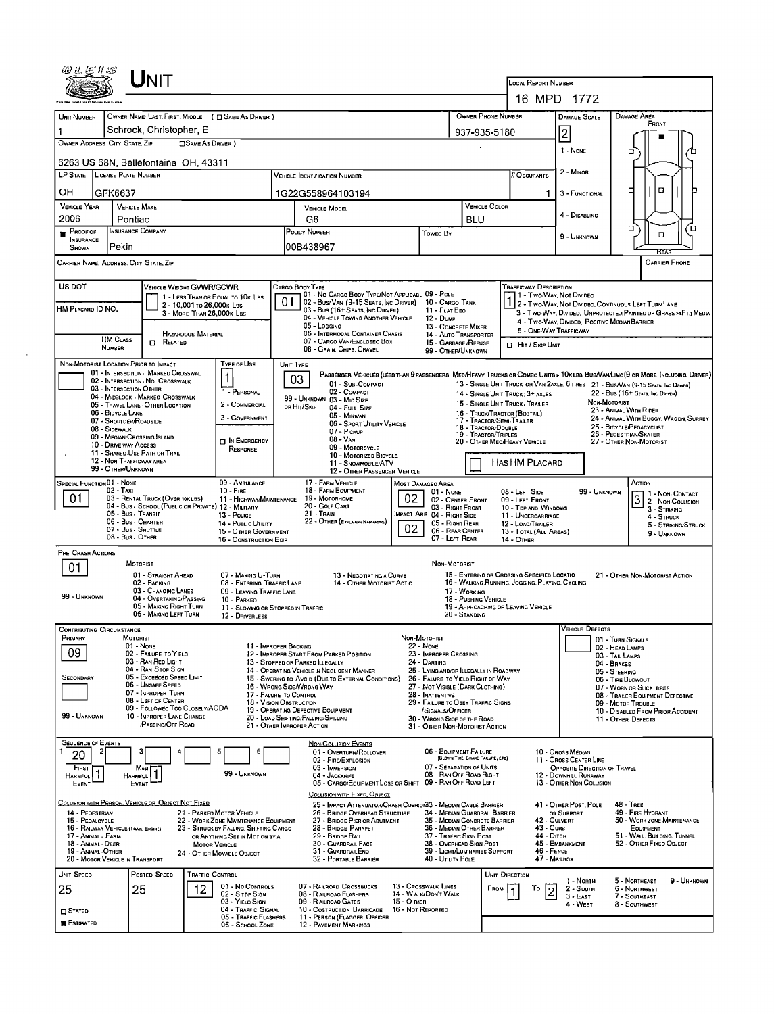|                                                                                        |                                                      | $U$ nit                                                                      |                            |                                                                                                                         |                                                                                                                                                                      |                                                                                                                                              |                                  |                                                           |                                                              |                                                                                                 |                                           |                                                                                                                         |                                                    |                                                        |                                       |  |  |
|----------------------------------------------------------------------------------------|------------------------------------------------------|------------------------------------------------------------------------------|----------------------------|-------------------------------------------------------------------------------------------------------------------------|----------------------------------------------------------------------------------------------------------------------------------------------------------------------|----------------------------------------------------------------------------------------------------------------------------------------------|----------------------------------|-----------------------------------------------------------|--------------------------------------------------------------|-------------------------------------------------------------------------------------------------|-------------------------------------------|-------------------------------------------------------------------------------------------------------------------------|----------------------------------------------------|--------------------------------------------------------|---------------------------------------|--|--|
|                                                                                        |                                                      |                                                                              |                            |                                                                                                                         |                                                                                                                                                                      |                                                                                                                                              |                                  |                                                           |                                                              |                                                                                                 | <b>LOCAL REPORT NUMBER</b><br>16 MPD 1772 |                                                                                                                         |                                                    |                                                        |                                       |  |  |
|                                                                                        |                                                      |                                                                              |                            |                                                                                                                         |                                                                                                                                                                      |                                                                                                                                              |                                  |                                                           |                                                              |                                                                                                 |                                           |                                                                                                                         | <b>DAMAGE AREA</b>                                 |                                                        |                                       |  |  |
| UNIT NUMBER                                                                            |                                                      | OWNER NAME LAST, FIRST, MIDDLE ( C SAME AS DRIVER )                          |                            |                                                                                                                         |                                                                                                                                                                      |                                                                                                                                              |                                  | OWNER PHONE NUMBER                                        |                                                              |                                                                                                 | <b>DAMAGE SCALE</b>                       |                                                                                                                         | FRONT                                              |                                                        |                                       |  |  |
| Schrock, Christopher, E<br>OWNER ADDRESS CITY, STATE, ZIP<br><b>CISAME AS DRIVER</b> ) |                                                      |                                                                              |                            |                                                                                                                         |                                                                                                                                                                      |                                                                                                                                              |                                  |                                                           | 937-935-5180                                                 |                                                                                                 |                                           | 2                                                                                                                       |                                                    |                                                        |                                       |  |  |
|                                                                                        |                                                      | 6263 US 68N, Bellefontaine, OH, 43311                                        |                            |                                                                                                                         |                                                                                                                                                                      |                                                                                                                                              |                                  |                                                           |                                                              |                                                                                                 |                                           | 1 - NONE                                                                                                                | о                                                  |                                                        |                                       |  |  |
|                                                                                        | LP STATE LICENSE PLATE NUMBER                        |                                                                              |                            |                                                                                                                         |                                                                                                                                                                      | <b>VEHICLE IDENTIFICATION NUMBER</b>                                                                                                         |                                  |                                                           |                                                              | # OCCUPANTS                                                                                     |                                           | 2 - MINOR                                                                                                               |                                                    |                                                        |                                       |  |  |
| он                                                                                     | GFK6637                                              |                                                                              |                            |                                                                                                                         |                                                                                                                                                                      | 1G22G558964103194                                                                                                                            |                                  |                                                           |                                                              |                                                                                                 | 1.                                        | 3 - FUNCTIONAL                                                                                                          | □                                                  | $\Box$                                                 |                                       |  |  |
| <b>VEHICLE YEAR</b><br><b>VEHICLE MAKE</b>                                             |                                                      |                                                                              |                            |                                                                                                                         |                                                                                                                                                                      | <b>VEHICLE MODEL</b>                                                                                                                         |                                  |                                                           | VEHICLE COLOR                                                |                                                                                                 |                                           |                                                                                                                         |                                                    |                                                        |                                       |  |  |
| 2006                                                                                   | Pontiac                                              |                                                                              |                            | G6                                                                                                                      |                                                                                                                                                                      |                                                                                                                                              |                                  | <b>BLU</b>                                                |                                                              |                                                                                                 | 4 - DISABLING                             |                                                                                                                         |                                                    |                                                        |                                       |  |  |
| Proof of<br><b>INSURANCE</b><br>SHOWN                                                  | Pekin                                                | <b>INSURANCE COMPANY</b>                                                     |                            |                                                                                                                         | POLICY NUMBER<br>Toweo By<br>00B438967                                                                                                                               |                                                                                                                                              |                                  |                                                           |                                                              |                                                                                                 |                                           | 9 - UNKNOWN                                                                                                             | α                                                  | о                                                      | ้ต                                    |  |  |
|                                                                                        |                                                      | CARRIER NAME, AOORESS. CITY. STATE, ZIP                                      |                            |                                                                                                                         |                                                                                                                                                                      |                                                                                                                                              |                                  |                                                           |                                                              |                                                                                                 |                                           |                                                                                                                         |                                                    | <b>CARRIER PHONE</b>                                   |                                       |  |  |
| US DOT                                                                                 |                                                      | VEHICLE WEIGHT GVWR/GCWR                                                     |                            |                                                                                                                         |                                                                                                                                                                      | CARGO BODY TYPE                                                                                                                              |                                  |                                                           |                                                              | TRAFFICWAY DESCRIPTION                                                                          |                                           |                                                                                                                         |                                                    |                                                        |                                       |  |  |
|                                                                                        |                                                      |                                                                              | 2 - 10,001 To 26,000 k Lss | 1 - LESS THAN OR EQUAL TO 10K LBS                                                                                       | 01                                                                                                                                                                   | 01 - No CARGO BODY TYPE/NOT APPLICABL 09 - POLE<br>02 - Bus/Van (9-15 Seats, Inc Driver) 10 - Cargo Tank                                     |                                  |                                                           |                                                              |                                                                                                 |                                           | 1 - Two-Way, Not Divideo                                                                                                |                                                    |                                                        |                                       |  |  |
| HM PLACARO ID NO.                                                                      |                                                      |                                                                              | 3 - MORE THAN 26,000K LBS  |                                                                                                                         | 03 - Bus (16+ Seats, Inc Driver)<br>04 - VEHICLE TOWING ANOTHER VEHICLE                                                                                              |                                                                                                                                              |                                  | 11 - FLAT BEO<br><b>12 - DUMP</b>                         |                                                              |                                                                                                 |                                           | 2 - Two-WAY, NOT DIVIDEO, CONTINUOUS LEFT TURN LANE<br>3 - Two-Way, Divided. UNPROTECTED(PAINTED OR GRASS > AFT.) MEDIA |                                                    |                                                        |                                       |  |  |
|                                                                                        |                                                      |                                                                              | HAZAROOUS MATERIAL         |                                                                                                                         |                                                                                                                                                                      | 05 - LOGGING<br>06 - INTERMODAL CONTAINER CHASIS                                                                                             |                                  | 13 - CONCRETE MIXER<br>14 - AUTO TRANSPORTER              |                                                              |                                                                                                 |                                           | 4 - Two-Way, Divided, Positive Median Barrier<br>5 - ONE-WAY TRAFFICWAY                                                 |                                                    |                                                        |                                       |  |  |
|                                                                                        | <b>HM CLASS</b><br>NUMBER                            | $\Box$ Related                                                               |                            | 07 - CARGO VAN/ENCLOSEO BOX<br>08 - GRAIN, CHIPS, GRAVEL                                                                |                                                                                                                                                                      |                                                                                                                                              |                                  | 15 - GARBAGE / REFUSE<br>99 - OTHER/UNKNOWN               |                                                              | El Hit / Skip UNIT                                                                              |                                           |                                                                                                                         |                                                    |                                                        |                                       |  |  |
|                                                                                        |                                                      | NON-MOTORIST LOCATION PRIOR TO IMPACT<br>01 - INTERSECTION - MARKEO CROSSWAL |                            | TYPE OF USE                                                                                                             |                                                                                                                                                                      | UNIT TYPE<br>PASSENGER VEHICLES (LESS THAN 9 PASSENGERS MED/HEAVY TRUCKS OR COMBO UNITS > 10 K LBS BUS/VAN/LIMO (9 OR MORE [NCLUDING DRIVER] |                                  |                                                           |                                                              |                                                                                                 |                                           |                                                                                                                         |                                                    |                                                        |                                       |  |  |
|                                                                                        | 03 - INTERSECTION OTHER                              | 02 - INTERSECTION No CROSSWALK                                               |                            | 1 - PERSONAL                                                                                                            |                                                                                                                                                                      | 03<br>01 - SUB-COMPACT<br>02 - COMPACT                                                                                                       |                                  |                                                           |                                                              |                                                                                                 |                                           | 13 - SINGLE UNIT TRUCK OR VAN 2AXLE, 6 TIRES 21 - BUS/VAN (9-15 SEATS, INC DRIVER)                                      |                                                    |                                                        |                                       |  |  |
|                                                                                        |                                                      | 04 - MIDBLOCK - MARKED CROSSWALK<br>05 - TRAVEL LANE - OTHER LOCATION        |                            | 2 - COMMERCIAL                                                                                                          |                                                                                                                                                                      | 99 - UNKNOWN 03 - MIO SIZE<br>OR HIT/SKIP<br>04 - FULL SIZE                                                                                  |                                  |                                                           |                                                              | 14 - SINGLE UNIT TRUCK: 3+ AXLES<br>15 - SINGLE UNIT TRUCK / TRAILER                            |                                           |                                                                                                                         | <b>NON-MOTORIST</b>                                | 22 - Bus (16+ Seats, Inc Driver)                       |                                       |  |  |
|                                                                                        | 06 - BICYCLE LANE<br>07 - Shoulder/Roadside          |                                                                              |                            | 3 - GOVERNMENT                                                                                                          |                                                                                                                                                                      | 05 - Minivan<br>06 - SPORT UTILITY VEHICLE                                                                                                   |                                  |                                                           |                                                              | 16 - TRUCK/TRACTOR (BOBTAL)<br>17 - TRACTOR/SEMI-TRAILER                                        |                                           |                                                                                                                         | 23 - ANIMAL WITH RIDER                             |                                                        | 24 - ANIMAL WITH BUGGY, WAGDN, SURREY |  |  |
|                                                                                        | 08 - SIDEWALK                                        | 09 - MEOIAN/CROSSING ISLAND                                                  |                            |                                                                                                                         |                                                                                                                                                                      | 07 - Pickup<br>08 - Van                                                                                                                      |                                  |                                                           | 18 - Tractor/Double<br>19 - TRACTOR/TRIPLES                  |                                                                                                 |                                           |                                                                                                                         | 25 - BICYCLE/PEOACYCLIST<br>26 - PEDESTRIAN/SKATER |                                                        |                                       |  |  |
|                                                                                        | 10 - DRIVE WAY ACCESS                                | 11 - SHARED-USE PATH OR TRAIL                                                |                            | <b>DIN EMERGENCY</b><br>RESPONSE                                                                                        |                                                                                                                                                                      | 09 - MOTORCYCLE<br>10 - MOTORIZED BICYCLE                                                                                                    |                                  |                                                           |                                                              | 20 - OTHER MEO/HEAVY VEHICLE                                                                    |                                           |                                                                                                                         | 27 - OTHER NON-MOTORIST                            |                                                        |                                       |  |  |
|                                                                                        | 99 - OTHER/UNKNOWN                                   | 12 - NON-TRAFFICWAY AREA                                                     |                            |                                                                                                                         |                                                                                                                                                                      | 11 - SNOWMOBILE/ATV<br>12 - OTHER PASSENGER VEHICLE                                                                                          |                                  |                                                           |                                                              | HAS HM PLACARD                                                                                  |                                           |                                                                                                                         |                                                    |                                                        |                                       |  |  |
|                                                                                        | SPECIAL FUNCTION 01 - NONE                           |                                                                              |                            | 09 - AMBULANCE                                                                                                          |                                                                                                                                                                      | 17 - FARM VEHICLE                                                                                                                            |                                  | <b>MOST DAMAGEO AREA</b>                                  |                                                              |                                                                                                 |                                           |                                                                                                                         | ACTION                                             |                                                        |                                       |  |  |
| 01                                                                                     | 02 - Taxi                                            | 03 - RENTAL TRUCK (OVER 10KLBS)                                              |                            | $10 -$ Fire<br>11 - HIGHWAY/MAINTENANCE                                                                                 |                                                                                                                                                                      | 18 - FARM EOUIPMENT<br>19 - Мотовноме                                                                                                        | 02                               | $01 - None$<br>02 - CENTER FRONT                          |                                                              | 08 - LEFT SIDE<br>09 - LEFT FRONT                                                               |                                           | 99 - UNKNOWN                                                                                                            | $\overline{3}$                                     | 1 - Non- CONTACT<br>2 - Non-Collision                  |                                       |  |  |
|                                                                                        |                                                      | 04 - Bus SCHOOL (PUBLIC OR PRIVATE) 12 - MILITARY<br>05 - Bus - Transit      |                            | 13 Pouce                                                                                                                |                                                                                                                                                                      | 20 - GOLF CART<br>21 - Train                                                                                                                 |                                  | 03 - RIGHT FRONT<br>MPACT ARE 04 - RIGHT SIDE             |                                                              | 10 - TOP AND WINDOWS<br>11 - UNDERCARRIAGE                                                      |                                           |                                                                                                                         |                                                    | 3 - Striking<br>4 - STRUCK                             |                                       |  |  |
|                                                                                        |                                                      | 06 - Bus - Charter<br>07 - Bus - SHUTTLE                                     |                            | 14 - PUBLIC UTILITY<br>15 - OTHER GOVERNMENT                                                                            |                                                                                                                                                                      | 22 - OTHER (EXPLAININ NARRATIVE)                                                                                                             | 02                               | 05 - RIGHT REAR<br>06 - REAR CENTER                       |                                                              | 12 - LOAD/TRAILER<br>13 - TOTAL (ALL AREAS)                                                     |                                           |                                                                                                                         |                                                    | 9 - UNKNOWN                                            | 5 - STRIKING/STRUCK                   |  |  |
| PRE- CRASH ACTIONS                                                                     |                                                      | 08 Bus OTHER                                                                 |                            | 16 - CONSTRUCTION EQIP                                                                                                  |                                                                                                                                                                      |                                                                                                                                              |                                  | 07 - LEFT REAR                                            |                                                              | 14 - Отнев                                                                                      |                                           |                                                                                                                         |                                                    |                                                        |                                       |  |  |
| 01                                                                                     |                                                      | MOTORIST                                                                     |                            |                                                                                                                         |                                                                                                                                                                      |                                                                                                                                              |                                  | Non MOTORIST                                              |                                                              |                                                                                                 |                                           |                                                                                                                         |                                                    |                                                        |                                       |  |  |
|                                                                                        |                                                      | 01 - STRAIGHT AHEAD<br>02 - BACKING                                          |                            | 07 - MAKING U-TURN<br>08 - ENTERING TRAFFIC LANE                                                                        |                                                                                                                                                                      | 13 - NEGOTIATING A CURVE<br>14 - OTHER MOTORIST ACTIO                                                                                        |                                  |                                                           |                                                              | 15 - ENTERING OR CROSSING SPECIFIED LOCATIO<br>16 - WALKING, RUNNING, JOGGING, PLAYING, CYCLING |                                           |                                                                                                                         |                                                    | 21 - OTHER NON-MOTORIST ACTION                         |                                       |  |  |
| 99 - UNKNOWN                                                                           |                                                      | 03 - CHANGING LANES<br>04 - OVERTAKING/PASSING                               |                            | 09 - LEAVING TRAFFIC LANE<br>10 - PARKEO                                                                                |                                                                                                                                                                      |                                                                                                                                              |                                  |                                                           | 17 - WORKING<br>18 - PUSHING VEHICLE                         |                                                                                                 |                                           |                                                                                                                         |                                                    |                                                        |                                       |  |  |
|                                                                                        |                                                      | 05 - MAKING RIGHT TURN<br>06 - MAKING LEFT TURN                              |                            | 12 - DRIVERLESS                                                                                                         | 19 - APPROACHING OR LEAVING VEHICLE<br>11 - SLOWING OR STOPPED IN TRAFFIC<br>20 - Standing                                                                           |                                                                                                                                              |                                  |                                                           |                                                              |                                                                                                 |                                           |                                                                                                                         |                                                    |                                                        |                                       |  |  |
|                                                                                        | <b>CONTRIBUTING CIRCUMSTANCE</b>                     |                                                                              |                            |                                                                                                                         |                                                                                                                                                                      |                                                                                                                                              |                                  |                                                           |                                                              |                                                                                                 |                                           | VEHICLE DEFECTS                                                                                                         |                                                    |                                                        |                                       |  |  |
| PRIMARY                                                                                |                                                      | MOTORIST<br>01 - None                                                        |                            | 11 - IMPROPER BACKING                                                                                                   |                                                                                                                                                                      |                                                                                                                                              |                                  | NON-MOTORIST<br>22 - None                                 |                                                              |                                                                                                 |                                           |                                                                                                                         | 01 - TURN SIGNALS<br>02 - HEAD LAMPS               |                                                        |                                       |  |  |
| 09                                                                                     |                                                      | 02 - FAILURE TO YIELD<br>03 - RAN RED LIGHT                                  |                            |                                                                                                                         | 12 - IMPROPER START FROM PARKED POSITION<br>23 - IMPROPER CROSSING<br>13 - STOPPED OR PARKED ILLEGALLY<br>24 - DARTING<br>14 - OPERATING VEHICLE IN NEGLIGENT MANNER |                                                                                                                                              |                                  |                                                           |                                                              |                                                                                                 |                                           |                                                                                                                         | 03 - TAIL LAMPS<br>04 - BRAKES                     |                                                        |                                       |  |  |
| <b>SECONDARY</b>                                                                       |                                                      | 04 - RAN STOP SIGN<br>05 - Excesoso Speed LIMIT                              |                            | 15 - Swering to Avoid (Due to External Conditions)                                                                      | 25 - LYING AND/OR ILLEGALLY IN ROADWAY<br>26 - FALURE TO YIELD RIGHT OF WAY                                                                                          |                                                                                                                                              |                                  | 05 - STEERING<br>06 - TIRE BLOWOUT                        |                                                              |                                                                                                 |                                           |                                                                                                                         |                                                    |                                                        |                                       |  |  |
|                                                                                        |                                                      | 06 - Unsafe Speed<br>07 - IMPROPER TURN                                      |                            | 17 - FALURE TO CONTROL                                                                                                  | 16 - WRONG SIDE/WRONG WAY                                                                                                                                            | 27 - NOT VISIBLE (DARK CLOTHING)                                                                                                             |                                  |                                                           | 07 - WORN OR SLICK TIRES<br>08 - TRAILER EQUIPMENT DEFECTIVE |                                                                                                 |                                           |                                                                                                                         |                                                    |                                                        |                                       |  |  |
|                                                                                        |                                                      | 08 - LEFT OF CENTER<br>09 - FOLLOWED TOO CLOSELY/ACDA                        |                            | 18 - VISION OBSTRUCTION<br>29 - FAILURE TO OBEY TRAFFIC SIGNS<br>19 - OPERATING DEFECTIVE EQUIPMENT<br>/SIGNALS/OFFICER |                                                                                                                                                                      |                                                                                                                                              |                                  |                                                           |                                                              |                                                                                                 |                                           | 09 - MOTOR TROUBLE<br>10 - DISABLED FROM PRIOR ACCIDENT                                                                 |                                                    |                                                        |                                       |  |  |
| 99 - UNKNOWN                                                                           |                                                      | 10 - IMPROPER LANE CHANGE<br>/PASSING/OFF ROAD                               |                            |                                                                                                                         | 20 - LOAD SHIFTING/FALLING/SPILLING<br>30 - WRONG SIDE OF THE ROAD<br>21 - OTHER IMPROPER ACTION<br>31 - OTHER NON-MOTORIST ACTION                                   |                                                                                                                                              |                                  |                                                           |                                                              |                                                                                                 |                                           | 11 - OTHER DEFECTS                                                                                                      |                                                    |                                                        |                                       |  |  |
|                                                                                        | <b>SEQUENCE OF EVENTS</b>                            | з                                                                            |                            | 5<br>6                                                                                                                  |                                                                                                                                                                      | <b>NON-COLLISION EVENTS</b>                                                                                                                  |                                  | 06 - EQUIPMENT FAILURE                                    |                                                              |                                                                                                 |                                           | 10 - Cross Median                                                                                                       |                                                    |                                                        |                                       |  |  |
| 20<br>FIRST                                                                            |                                                      |                                                                              |                            |                                                                                                                         |                                                                                                                                                                      | 01 - OVERTURN/ROLLOVER<br>02 - FIRE/EXPLOSION<br>03 - IMMERSION                                                                              |                                  | 07 - SEPARATION OF UNITS                                  | (BLOWN TIRE, BRAKE FAILURE, ETC)                             |                                                                                                 |                                           | 11 - Cross CENTER LINE<br>OPPOSITE DIRECTION OF TRAVEL                                                                  |                                                    |                                                        |                                       |  |  |
| <b>HARMFUL</b><br>EVENT                                                                |                                                      | Most<br>HARMFUL <sup>1</sup><br>EVENT                                        |                            | 99 - UNKNOWN                                                                                                            |                                                                                                                                                                      | 04 - JACKKNIFE<br>05 - CARGO/EQUIPMENT LOSS OR SHIFT                                                                                         |                                  | 08 - RAN OFF ROAD RIGHT<br>09 - RAN OFF ROAD LEFT         |                                                              |                                                                                                 |                                           | 12 - DOWNHILL RUNAWAY<br>13 - OTHER NON-COLLISION                                                                       |                                                    |                                                        |                                       |  |  |
|                                                                                        |                                                      |                                                                              |                            |                                                                                                                         |                                                                                                                                                                      | COLLISION WITH FIXED, OBJECT                                                                                                                 |                                  |                                                           |                                                              |                                                                                                 |                                           |                                                                                                                         |                                                    |                                                        |                                       |  |  |
| 14 - PEDESTRIAN                                                                        |                                                      | COLLISION WITH PERSON, VEHICLE OR OBJECT NOT FIXED                           |                            | 21 - PARKED MOTOR VEHICLE                                                                                               |                                                                                                                                                                      | 25 - IMPACT ATTENUATOR/CRASH CUSHION33 - MEOIAN CABLE BARRIER<br>26 - BRIDGE OVERHEAD STRUCTURE                                              |                                  | 34 - MEDIAN GUARDRAIL BARRIER                             |                                                              |                                                                                                 |                                           | 41 - OTHER POST, POLE<br>OR SUPPORT                                                                                     | 48 - TREE                                          | 49 - FIRE HYDRANT                                      |                                       |  |  |
| 15 - PEDALCYCLE                                                                        | 16 - RAILWAY VEHICLE (TRAIN, ENGINE)                 |                                                                              |                            | 22 - WORK ZDNE MAINTENANCE EQUIPMENT<br>23 - STRUCK BY FALLING, SHIFTING CARGO                                          |                                                                                                                                                                      | 27 - BRIDGE PIER OR ABUTMENT<br>28 - BRIDGE PARAPET                                                                                          |                                  | 35 - MEDIAN CONCRETE BARRIER<br>36 - MEDIAN OTHER BARRIER |                                                              |                                                                                                 | 42 - CULVERT<br>43 - Cuns                 |                                                                                                                         |                                                    | 50 - WORK ZONE MAINTENANCE<br>EQUIPMENT                |                                       |  |  |
|                                                                                        | 17 - Animal · Farm<br>18 - Animal - Deer             |                                                                              | <b>MOTOR VEHICLE</b>       | OR ANYTHING SET IN MOTION BY A                                                                                          | 29 - Bridge Rail<br>37 - TRAFFIC SIGN POST<br>30 - GUARDRAIL FACE<br>38 - OVERHEAD SIGN POST                                                                         |                                                                                                                                              |                                  |                                                           |                                                              |                                                                                                 | 44 - Опсн                                 | 45 - EMBANKMENT                                                                                                         |                                                    | 51 - WALL, BUILDING, TUNNEL<br>52 - Отнев Гіхер Овлест |                                       |  |  |
|                                                                                        | 19 - Animal Other<br>20 - MOTOR VEHICLE IN TRANSPORT |                                                                              |                            | 24 - Отнея Моуавье Овлест                                                                                               |                                                                                                                                                                      | 31 - Guardrail End<br>32 - PORTABLE BARRIER                                                                                                  |                                  | 39 - LIGHT/LUMINARIES SUPPORT<br>40 - UTILITY POLE        |                                                              |                                                                                                 | 46 - FENCE<br>47 - MAILBOX                |                                                                                                                         |                                                    |                                                        |                                       |  |  |
| UNIT SPEED                                                                             |                                                      | POSTED SPEED                                                                 | <b>TRAFFIC CONTROL</b>     |                                                                                                                         |                                                                                                                                                                      |                                                                                                                                              |                                  |                                                           |                                                              | <b>UNIT DIRECTION</b>                                                                           |                                           | 1 - North                                                                                                               | 5 - Northeast                                      |                                                        | 9 - UNKNOWN                           |  |  |
| 25                                                                                     |                                                      | 25                                                                           | 12.                        | 01 - No CONTROLS<br>02 - S TDP SIGN                                                                                     |                                                                                                                                                                      | 07 - RAILROAD CROSSBUCKS<br>08 - RAILROAD FLASHERS                                                                                           |                                  | 13 - Crosswaux Lines<br>14 - WALK/DON'T WALK              | FROM                                                         | Т٥                                                                                              | 2                                         | 2 - South<br>$3 - EAST$                                                                                                 | 6 - NORTHWEST<br>7 - SOUTHEAST                     |                                                        |                                       |  |  |
| <b>D</b> STATED                                                                        |                                                      |                                                                              |                            | 03 - YIELO SIGN<br>04 - TRAFFIC SIGNAL                                                                                  |                                                                                                                                                                      | 09 - RAILROAD GATES<br>10 - COSTRUCTION BARRICADE                                                                                            | 15 - О тнев<br>16 - Not Reported |                                                           |                                                              |                                                                                                 |                                           | 4 - West                                                                                                                | 8 - Southwest                                      |                                                        |                                       |  |  |
| <b>ESTIMATED</b>                                                                       |                                                      |                                                                              |                            | 05 - TRAFFIC FLASHERS<br>06 - SCHOOL ZONE                                                                               |                                                                                                                                                                      | 11 - PERSON (FLAGGER, OFFICER<br>12 - PAVEMENT MARKINGS                                                                                      |                                  |                                                           |                                                              |                                                                                                 |                                           |                                                                                                                         |                                                    |                                                        |                                       |  |  |
|                                                                                        |                                                      |                                                                              |                            |                                                                                                                         |                                                                                                                                                                      |                                                                                                                                              |                                  |                                                           |                                                              |                                                                                                 |                                           |                                                                                                                         |                                                    |                                                        |                                       |  |  |

 $\label{eq:2} \frac{1}{2} \int_{\mathbb{R}^3} \frac{1}{\sqrt{2}} \, \frac{d\mathbf{y}}{d\mathbf{y}} \, \frac{d\mathbf{y}}{d\mathbf{y}} \, \frac{d\mathbf{y}}{d\mathbf{y}} \, \frac{d\mathbf{y}}{d\mathbf{y}} \, \frac{d\mathbf{y}}{d\mathbf{y}} \, \frac{d\mathbf{y}}{d\mathbf{y}} \, \frac{d\mathbf{y}}{d\mathbf{y}} \, \frac{d\mathbf{y}}{d\mathbf{y}} \, \frac{d\mathbf{y}}{d\mathbf{y}} \, \frac$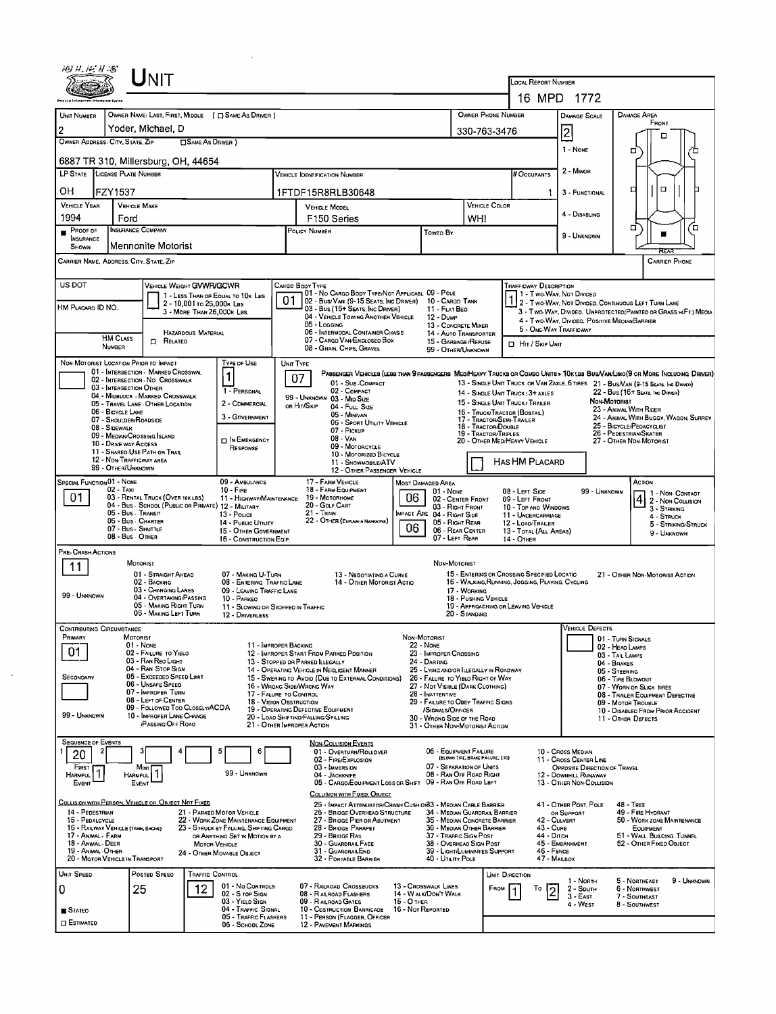|                                                                                                                                                                                                                                                                                                                                                                                                                                                                                                                                                         |                                                                                                                                                                                                                                                                                                                                                                                                                                                                                                                                                                                                                                                                                                              | Init                                                                                                                                                                                                                                                                                  |                       |                                                                                                                                                                                                      |  |                                                                                                                                                                                                                                                                                                                                                                                                                                                                                                                                                                                                                                                                                                                                                |                                  |                                                                                                                                                                                                                                                                                                                  |                                  |                        |                                                                                                                                                                                                                                                                                        |                                                                                                                                                                                                                                                                 |                                                                                                                                                                                                                                                                                           |                                                                                                                                       |                                                                            |  |  |  |
|---------------------------------------------------------------------------------------------------------------------------------------------------------------------------------------------------------------------------------------------------------------------------------------------------------------------------------------------------------------------------------------------------------------------------------------------------------------------------------------------------------------------------------------------------------|--------------------------------------------------------------------------------------------------------------------------------------------------------------------------------------------------------------------------------------------------------------------------------------------------------------------------------------------------------------------------------------------------------------------------------------------------------------------------------------------------------------------------------------------------------------------------------------------------------------------------------------------------------------------------------------------------------------|---------------------------------------------------------------------------------------------------------------------------------------------------------------------------------------------------------------------------------------------------------------------------------------|-----------------------|------------------------------------------------------------------------------------------------------------------------------------------------------------------------------------------------------|--|------------------------------------------------------------------------------------------------------------------------------------------------------------------------------------------------------------------------------------------------------------------------------------------------------------------------------------------------------------------------------------------------------------------------------------------------------------------------------------------------------------------------------------------------------------------------------------------------------------------------------------------------------------------------------------------------------------------------------------------------|----------------------------------|------------------------------------------------------------------------------------------------------------------------------------------------------------------------------------------------------------------------------------------------------------------------------------------------------------------|----------------------------------|------------------------|----------------------------------------------------------------------------------------------------------------------------------------------------------------------------------------------------------------------------------------------------------------------------------------|-----------------------------------------------------------------------------------------------------------------------------------------------------------------------------------------------------------------------------------------------------------------|-------------------------------------------------------------------------------------------------------------------------------------------------------------------------------------------------------------------------------------------------------------------------------------------|---------------------------------------------------------------------------------------------------------------------------------------|----------------------------------------------------------------------------|--|--|--|
|                                                                                                                                                                                                                                                                                                                                                                                                                                                                                                                                                         |                                                                                                                                                                                                                                                                                                                                                                                                                                                                                                                                                                                                                                                                                                              |                                                                                                                                                                                                                                                                                       |                       |                                                                                                                                                                                                      |  |                                                                                                                                                                                                                                                                                                                                                                                                                                                                                                                                                                                                                                                                                                                                                |                                  |                                                                                                                                                                                                                                                                                                                  |                                  |                        | <b>LOCAL REPORT NUMBER</b>                                                                                                                                                                                                                                                             | 16 MPD 1772                                                                                                                                                                                                                                                     |                                                                                                                                                                                                                                                                                           |                                                                                                                                       |                                                                            |  |  |  |
| UNIT NUMBER<br>2                                                                                                                                                                                                                                                                                                                                                                                                                                                                                                                                        | OWNER NAME: LAST, FIRST, MIDDLE ( C SAME AS DRIVER )<br>OWNER PHONE NUMBER<br>Yoder, Michael, D<br>330-763-3476<br>OWNER ADDRESS: CITY, STATE, ZIP<br>SAME AS DRIVER )                                                                                                                                                                                                                                                                                                                                                                                                                                                                                                                                       |                                                                                                                                                                                                                                                                                       |                       |                                                                                                                                                                                                      |  |                                                                                                                                                                                                                                                                                                                                                                                                                                                                                                                                                                                                                                                                                                                                                |                                  |                                                                                                                                                                                                                                                                                                                  |                                  |                        |                                                                                                                                                                                                                                                                                        | DAMAGE SCALE<br>$\overline{2}$<br>1 - None                                                                                                                                                                                                                      |                                                                                                                                                                                                                                                                                           | DAMAGE AREA<br>FRONT<br>n<br>п                                                                                                        |                                                                            |  |  |  |
| LP STATE LICENSE PLATE NUMBER                                                                                                                                                                                                                                                                                                                                                                                                                                                                                                                           |                                                                                                                                                                                                                                                                                                                                                                                                                                                                                                                                                                                                                                                                                                              | 6887 TR 310, Millersburg, OH, 44654                                                                                                                                                                                                                                                   |                       |                                                                                                                                                                                                      |  | <b>VEHICLE IDENTIFICATION NUMBER</b>                                                                                                                                                                                                                                                                                                                                                                                                                                                                                                                                                                                                                                                                                                           |                                  |                                                                                                                                                                                                                                                                                                                  |                                  |                        | <b># Occupants</b>                                                                                                                                                                                                                                                                     | 2 - Minor                                                                                                                                                                                                                                                       |                                                                                                                                                                                                                                                                                           |                                                                                                                                       |                                                                            |  |  |  |
| OН<br><b>VEHICLE YEAR</b>                                                                                                                                                                                                                                                                                                                                                                                                                                                                                                                               | FZY1537                                                                                                                                                                                                                                                                                                                                                                                                                                                                                                                                                                                                                                                                                                      | <b>VEHICLE MAKE</b>                                                                                                                                                                                                                                                                   |                       |                                                                                                                                                                                                      |  | 1FTDF15R8RLB30648<br>VEHICLE COLOR<br><b>VEHICLE MODEL</b>                                                                                                                                                                                                                                                                                                                                                                                                                                                                                                                                                                                                                                                                                     |                                  |                                                                                                                                                                                                                                                                                                                  |                                  |                        | 1.                                                                                                                                                                                                                                                                                     | 3 - FUNCTIONAL                                                                                                                                                                                                                                                  |                                                                                                                                                                                                                                                                                           | $\Box$<br>ᆷ                                                                                                                           |                                                                            |  |  |  |
| 1994<br>PROOF OF<br><b>INSURANCE</b>                                                                                                                                                                                                                                                                                                                                                                                                                                                                                                                    | Ford<br><b>INSURANCE COMPANY</b>                                                                                                                                                                                                                                                                                                                                                                                                                                                                                                                                                                                                                                                                             |                                                                                                                                                                                                                                                                                       |                       |                                                                                                                                                                                                      |  | F <sub>150</sub> Series<br>POLICY NUMBER<br>Toweo By                                                                                                                                                                                                                                                                                                                                                                                                                                                                                                                                                                                                                                                                                           |                                  |                                                                                                                                                                                                                                                                                                                  |                                  |                        |                                                                                                                                                                                                                                                                                        | 4 - DISABLING<br>9 - UNKNOWN                                                                                                                                                                                                                                    |                                                                                                                                                                                                                                                                                           | α,<br>н                                                                                                                               | Έ                                                                          |  |  |  |
| SHOWN                                                                                                                                                                                                                                                                                                                                                                                                                                                                                                                                                   |                                                                                                                                                                                                                                                                                                                                                                                                                                                                                                                                                                                                                                                                                                              | Mennonite Motorist<br>CARRIER NAME, ADORESS, CITY, STATE, ZIP                                                                                                                                                                                                                         |                       |                                                                                                                                                                                                      |  |                                                                                                                                                                                                                                                                                                                                                                                                                                                                                                                                                                                                                                                                                                                                                |                                  |                                                                                                                                                                                                                                                                                                                  |                                  |                        |                                                                                                                                                                                                                                                                                        |                                                                                                                                                                                                                                                                 |                                                                                                                                                                                                                                                                                           | RFAR                                                                                                                                  | <b>CARRIER PHONE</b>                                                       |  |  |  |
| <b>US DOT</b><br>VEHICLE WEIGHT GVWFVGCWR<br>1 - LESS THAN OR EQUAL TO 10K LBS<br>2 - 10,001 To 26,000K LBS<br>HM PLACARO ID NO.<br>3 - MORE THAN 26,000K LBS.<br><b>HAZARDOUS MATERIAL</b>                                                                                                                                                                                                                                                                                                                                                             |                                                                                                                                                                                                                                                                                                                                                                                                                                                                                                                                                                                                                                                                                                              |                                                                                                                                                                                                                                                                                       |                       |                                                                                                                                                                                                      |  | CARGO BOOY TYPE<br>01 - No CARGO BODY TYPE/NOT APPLICABL 09 - POLE<br>01<br>02 - Bus/Van (9-15 Seats, Inc Driver) 10 - CARGO TANK<br>03 - Bus (16+ Seats, Inc Driver)<br>11 - FLAT BED<br>04 - VEHICLE TOWING ANOTHER VEHICLE<br>12 - Dump<br>05 - Logging<br>13 - CONCRETE MIXER<br>06 - INTERMODAL CONTAINER CHASIS<br>14 - AUTO TRANSPORTER                                                                                                                                                                                                                                                                                                                                                                                                 |                                  |                                                                                                                                                                                                                                                                                                                  |                                  |                        |                                                                                                                                                                                                                                                                                        | <b>TRAFFICWAY DESCRIPTION</b><br>1 - Two-Way, Not Divideo<br>1 2 - Two-Way, Not Divideo, Continuous Left Turn Lane<br>3 - Two-Way, Divideo, Unprotected Painted or Grass >4F1.1 Media<br>4 - Two-Way, Divideo, Positive Meora Barrier<br>5 - ONE-WAY TRAFFICWAY |                                                                                                                                                                                                                                                                                           |                                                                                                                                       |                                                                            |  |  |  |
|                                                                                                                                                                                                                                                                                                                                                                                                                                                                                                                                                         | <b>HM CLASS</b><br>NUMBER                                                                                                                                                                                                                                                                                                                                                                                                                                                                                                                                                                                                                                                                                    | $\Box$ Related                                                                                                                                                                                                                                                                        |                       |                                                                                                                                                                                                      |  | 07 - CARGO VAN/ENCLOSEO BOX<br>08 - Grain, Chips, Gravel                                                                                                                                                                                                                                                                                                                                                                                                                                                                                                                                                                                                                                                                                       |                                  | 15 - GARBAGE / REFUSE<br>99 - OTHER/UNKNOWN                                                                                                                                                                                                                                                                      |                                  |                        | HIT / SKIP UNIT                                                                                                                                                                                                                                                                        |                                                                                                                                                                                                                                                                 |                                                                                                                                                                                                                                                                                           |                                                                                                                                       |                                                                            |  |  |  |
| NON-MOTORIST LOCATION PRIOR TO IMPACT<br>TYPE OF USE<br>01 - INTERSECTION - MARKED CROSSWAL<br>$\mathbf{1}$<br>02 - INTERSECTION - NO CROSSWALK<br>03 - INTERSECTION OTHER<br>1 - PERSONAL<br>04 - MIDBLOCK - MARKED CROSSWALK<br>2 - COMMERCIAL<br>05 - TRAVEL LANE - OTHER LOCATION<br>06 - BICYCLE LANE<br>3 - GOVERNMENT<br>07 - SHOULDER/ROADSIDE<br>08 - SIDEWALK<br>09 - MEDIAN/CROSSING ISLAND<br><b>n</b> IN EMERGENCY<br>10 - DRIVE WAY ACCESS<br>RESPONSE<br>11 - Shareo Use Path or Trail<br>12 - NON TRAFFICWAY AREA<br>99 - OTHER/UNKNOWN |                                                                                                                                                                                                                                                                                                                                                                                                                                                                                                                                                                                                                                                                                                              |                                                                                                                                                                                                                                                                                       |                       |                                                                                                                                                                                                      |  | UNIT TYPE<br>PASSENGER VEHICLES (LESS THAN 9 PASSENGERS MED/HEAVY TRUCKS OR COMBO UNITS > 10K LBS BUS/VAM/LIMO(9 OR MORE INCLUDING DRIVER)<br>07<br>01 - Sub COMPACT<br>02 - COMPACT<br>14 - SINGLE UNIT TRUCK: 3+ AXLES<br>99 - UNKNOWN 03 - MID SIZE<br>15 - SINGLE UNIT TRUCK / TRAILER<br>OR HIT/SKIP<br>04 - Futt Size<br>16 - TRUCK/TRACTOR (BOSTAL)<br>05 - MINIVAN<br>17 - TRACTOR/SEMI-TRAILER<br>06 - SPORT UTILITY VEHICLE<br>18 - TRACTOR/DOUBLE<br>07 - Pickup<br>19 - TRACTOR/TRIPLES<br>08 - VAN<br>20 - OTHER MEDIHEAVY VEHICLE<br>09 - MOTORCYCLE<br>10 - MOTORIZED BICYCLE<br>HAS HM PLACARD<br>11 - SNOWMOBILE/ATV<br>12 - OTHER PASSENGER VEHICLE                                                                          |                                  |                                                                                                                                                                                                                                                                                                                  |                                  |                        |                                                                                                                                                                                                                                                                                        |                                                                                                                                                                                                                                                                 | 13 - SINGLE UNIT TRUCK OR VAN 2AXLE, 6 TIRES 21 - BUS/VAN (9-15 SEATS. INC DRIVER)<br>22 - Bus (16+ Seats, Inc Driver)<br>NON-MOTORIST<br>23 - ANIMAL WITH RIDER<br>24 - ANMAL WITH BUGGY, WAGON, SURREY<br>25 - BICYCLE/PEDACYCLIST<br>26 - PEDESTRIAN/SKATER<br>27 - OTHER NON-MOTORIST |                                                                                                                                       |                                                                            |  |  |  |
| SPECIAL FUNCTION 01 - NONE<br>09 - AMBULANCE<br>$02 - Tax1$<br>$10 - F$ IRE<br>01<br>03 - RENTAL TRUCK (OVER 10K LBS)<br>04 - Bus - SCHOOL (PUBLIC OR PRIVATE) 12 - MILITARY<br>05 - Bus - Transit<br>13 - PoLice<br>06 - Bus - Charter<br>14 - Pusuc Umury<br>07 - Bus - Shuttle<br>15 - OTHER GOVERNMENT<br>08 - Bus - OTHER                                                                                                                                                                                                                          |                                                                                                                                                                                                                                                                                                                                                                                                                                                                                                                                                                                                                                                                                                              |                                                                                                                                                                                                                                                                                       |                       |                                                                                                                                                                                                      |  | 17 - FARM VEHICLE<br><b>MOST DAMAGED AREA</b><br>18 - FARM EQUIPMENT<br>$01 - None$<br>06<br>11 - HIGHWAY/MAINTENANCE 19 - MOTORHOME<br>02 - CENTER FRONT<br>20 - GOLF CART<br>03 - RIGHT FRONT<br>21 - Train<br>MPACT ARE 04 - RIGHT SIDE<br>22 - OTHER (EXPLAN IN NARRATIVE)<br>05 - Right Rear<br>06<br>06 - REAR CENTER<br>07 - LEFT REAR                                                                                                                                                                                                                                                                                                                                                                                                  |                                  |                                                                                                                                                                                                                                                                                                                  |                                  |                        | 08 - LEFT SIDE<br>09 - LEFT FRONT<br>10 - TOP AND WINDOWS<br>11 - UNDERCARRIAGE<br>12 - LOAO/TRAILER<br>13 - TOTAL (ALL AREAS)                                                                                                                                                         |                                                                                                                                                                                                                                                                 | 99 - UNKNOWN                                                                                                                                                                                                                                                                              | ACTION<br>3 - STRIKING<br>4 - STRUCK                                                                                                  | 1 - Non-CONTACT<br>2 - Non-Collision<br>5 - STRIKING/STRUCK<br>9 - UNKNOWN |  |  |  |
| 11                                                                                                                                                                                                                                                                                                                                                                                                                                                                                                                                                      | 16 - CONSTRUCTION EQIP.<br>14 - Отнев<br>PRE-CRASH ACTIONS<br><b>MOTORIST</b><br>NON-MOTORIST<br>07 - MAKING U-TURN<br>15 - ENTERING OR CROSSING SPECIFIED LOCATIO<br>01 - STRAIGHT AHEAD<br>13 - NEGOTIATING A CURVE<br>21 - OTHER NON-MOTORIST ACTION<br>16 - WALKING, RUNNING, JOGGING, PLAYING, CYCLING<br>02 - BACKING<br>08 - ENTERING TRAFFIC LANE<br>14 - OTHER MOTORIST ACTIO<br>03 - CHANGING LANES<br>09 - LEAVING TRAFFIC LANE<br>17 - WORKING<br>99 - UNKNOWN<br>04 - OVERTAKING/PASSING<br>18 - PUSHING VEHICLE<br>10 PARKEO<br>05 - MAKING RIGHT TURN<br>19 - APPROACHING OR LEAVING VEHICLE<br>11 - SLOWING OR STOPPED IN TRAFFIC<br>06 - MAKING LEFT TURN<br>20 - STANDING<br>12 DRIVERLESS |                                                                                                                                                                                                                                                                                       |                       |                                                                                                                                                                                                      |  |                                                                                                                                                                                                                                                                                                                                                                                                                                                                                                                                                                                                                                                                                                                                                |                                  |                                                                                                                                                                                                                                                                                                                  |                                  |                        |                                                                                                                                                                                                                                                                                        |                                                                                                                                                                                                                                                                 |                                                                                                                                                                                                                                                                                           |                                                                                                                                       |                                                                            |  |  |  |
| Contributing Circumstance<br>PRIMARY<br>01<br>SECONDARY<br>99 - UNKNOWN                                                                                                                                                                                                                                                                                                                                                                                                                                                                                 |                                                                                                                                                                                                                                                                                                                                                                                                                                                                                                                                                                                                                                                                                                              | MOTORIST<br>$01 - None$<br>02 - FAILURE TO YIELD<br>03 - RAN REO LIGHT<br>04 - RAN STOP SIGN<br>05 - Exceeded Speed Limit<br>06 - UNSAFE SPEED<br>07 - IMPROPER TURN<br>08 - LEFT OF CENTER<br>09 - FOLLOWEO TOO CLOSELY/ACDA<br>10 - IMPROPER LANE CHANGE<br><b>PASSING/OFF ROAO</b> |                       |                                                                                                                                                                                                      |  | NON-MOTORIST<br>22 - NONE<br>11 - IMPROPER BACKING<br>23 - IMPROPER CROSSING<br>12 - IMPROPER START FROM PARKED POSITION<br>13 - STOPPED DR PARKED ILLEGALLY<br>24 - DARTING<br>14 - OPERATING VEHICLE IN NEGLIGENT MANNER<br>25 - LYING ANDIOR LLEGALLY IN ROADWAY<br>26 - FALURE TO YIELO RIGHT OF WAY<br>15 - SWERING TO AVOID (DUE TO EXTERNAL CONDITIONS)<br>16 - WRONG SIDE/WRONG WAY<br>27 - NOT VISIBLE (DARK CLOTHING)<br>17 - FALURE TO CONTROL<br>28 - INATTENTIVE<br>29 - FAILURE TO OBEY TRAFFIC SIGNS<br>18 - VISION OBSTRUCTION<br>19 - OPERATING DEFECTIVE EQUIPMENT<br>/SIGNALS/OFFICER<br>20 - LOAO SHIFTINO/FALLING/SPILLING<br>30 - WRONG SIDE OF THE ROAD<br>21 - OTHER IMPROPER ACTION<br>31 - OTHER NON-MOTORIST ACTION |                                  |                                                                                                                                                                                                                                                                                                                  |                                  |                        | <b>VEHICLE DEFECTS</b><br>01 - TURN SIGNALS<br>02 - HEAD LAMPS<br>03 - TAIL LAMPS<br>04 - BRAKES<br>05 - STEERING<br>06 - TIRE BLOWOUT<br>07 - WORN OR SLICK TIRES<br>08 - TRALER EQUIPMENT DEFECTIVE<br>09 - MOTOR TROUBLE<br>10 - DISABLEO FROM PRIOR ACCIDENT<br>11 - OTHER DEFECTS |                                                                                                                                                                                                                                                                 |                                                                                                                                                                                                                                                                                           |                                                                                                                                       |                                                                            |  |  |  |
| <b>SEQUENCE OF EVENTS</b><br>20<br>FIRST<br><b>HARMFUL</b><br><b>EVENT</b><br>14 - PEDESTRIAN<br>15 - PEDALCYCLE<br>17 - ANMAL - FARM<br>18 - ANIMAL - DEER<br>19 - ANIMAL - OTHER                                                                                                                                                                                                                                                                                                                                                                      | 2<br>1<br>16 - RAILWAY VEHICLE (TRAIN, ENGINE)                                                                                                                                                                                                                                                                                                                                                                                                                                                                                                                                                                                                                                                               | 3<br>Most<br>1<br><b>HARMFUL</b><br>EVENT<br>COLLISION WITH PERSON, VEHICLE OR OBJECT NOT FIXED<br>20 - MOTOR VEHICLE IN TRANSPORT                                                                                                                                                    | <b>MOTOR VEHICLE</b>  | 5<br>Е<br>99 - UNKNOWN<br>21 - PARKED MOTOR VEHICLE<br>22 - WORK ZONE MAINTENANCE EQUIPMENT<br>23 - STRUCK BY FALLING, SHIFTING CARGO<br>OR ANYTHING SET IN MOTION BY A<br>24 - Отнев Моуавце Овјест |  | NON-COLLISION EVENTS<br>01 - OVERTURN/ROLLOVER<br>02 - FIRE/EXPLOSION<br>03 - IMMERSION<br>04 - JACKKNIFE<br>05 - CARGO/EQUIPMENT LOSS OR SHIFT<br>COLLISION WITH FIXED, OBJECT<br>25 - IMPACT ATTENUATOR/CRASH CUSHION33 - MEDIAN CABLE BARRIER<br>26 - BRIDGE OVERHEAD STRUCTURE<br>27 - BRIDGE PIER OR ABUTMENT<br>28 - BRIOGE PARAPET<br>29 - BRIDGE RAIL<br>30 - GUARDRAIL FACE<br>31 - GUARDRAILEND<br>32 - PORTABLE BARRIER                                                                                                                                                                                                                                                                                                             |                                  | 06 - EQUIPMENT FAILURE<br>07 - SEPARATION OF UNITS<br>08 - RAN OFF ROAD RIGHT<br>09 - RAN OFF ROAD LEFT<br>34 - Meolan Guardrall Barrier<br>35 - MEOIAN CONCRETE BARRIER<br>36 - MEOIAN OTHER BARRIER<br>37 - TRAFFIC SIGN POST<br>38 - OVERHEAD SIGN POST<br>39 - LIGHT/LUMINARIES SUPPORT<br>40 - UTILITY POLE | (BLOWN TIRE, BRAKE FAILURE, ETC) |                        | 42 - CULVERT<br>43 - CuRB<br>44 - Олсн<br>46 - FENCE<br>47 MAILBOX                                                                                                                                                                                                                     | 10 - Cross Median<br>11 - Cross CENTER LINE<br>OPPOSITE DIRECTION OF TRAVEL<br>12 - DOWNHILL RUNAWAY<br>13 - OTHER NON-COLLISION<br>41 - OTHER POST, POLE<br>OR SUPPORT<br>45 - EMBANKMENT                                                                      |                                                                                                                                                                                                                                                                                           | $48 - T$ REE<br>49 - FIRE HYDRANT<br>50 - WORK ZONE MAINTENANCE<br>EOUIPMENT<br>51 - WALL, BULDING, TUNNEL<br>52 - OTHER FIXED OBJECT |                                                                            |  |  |  |
| UNIT SPEED<br>0<br><b>STATEO</b><br><b>O</b> ESTIMATED                                                                                                                                                                                                                                                                                                                                                                                                                                                                                                  |                                                                                                                                                                                                                                                                                                                                                                                                                                                                                                                                                                                                                                                                                                              | Posted Speed<br>25                                                                                                                                                                                                                                                                    | TRAFFIC CONTROL<br>12 | 01 - No Controls<br>02 - S TOP SIGN<br>03 - YIELD SIGN<br>04 - Traffic Signal<br>05 - TRAFFIC FLASHERS<br>06 - SCHODL ZONE                                                                           |  | 07 - RAILROAD CROSSBUCKS<br>08 - RAILROAD FLASHERS<br>09 - RAILROAD GATES<br>10 - COSTRUCTION BARRICAOE<br>11 - PERSON (FLAGGER, OFFICER<br><b>12 - PAVEMENT MARKINGS</b>                                                                                                                                                                                                                                                                                                                                                                                                                                                                                                                                                                      | 15 - О тнев<br>16 - Not Reported | 13 - CROSSWALK LINES<br>14 - WALK/DON'T WALK                                                                                                                                                                                                                                                                     |                                  | UNIT DIRECTION<br>FROM | To<br>Ī2                                                                                                                                                                                                                                                                               | 1 - North<br>2 - South<br>$3 - E$ AST<br>4 - West                                                                                                                                                                                                               |                                                                                                                                                                                                                                                                                           | 5 - NORTHEAST<br>6 - NORTHWEST<br>7 - SOUTHEAST<br>8 - SOUTHWEST                                                                      | 9 - UNKNOWN                                                                |  |  |  |

 $\mathcal{A}^{\text{max}}_{\text{max}}$